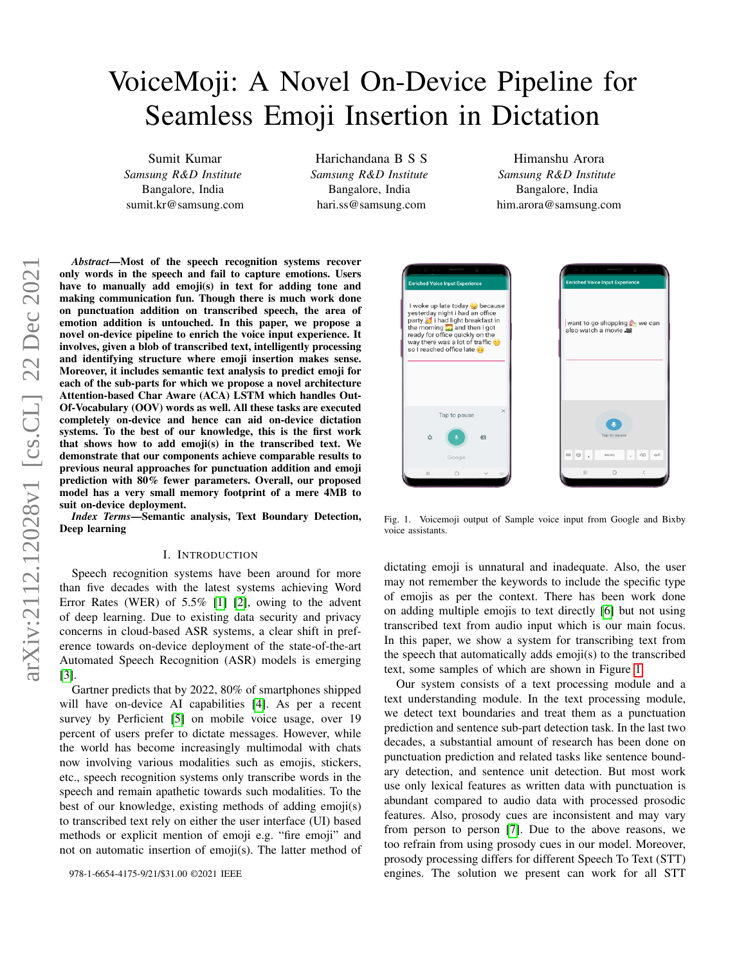# VoiceMoji: A Novel On-Device Pipeline for Seamless Emoji Insertion in Dictation

Sumit Kumar *Samsung R&D Institute* Bangalore, India sumit.kr@samsung.com

Harichandana B S S *Samsung R&D Institute* Bangalore, India hari.ss@samsung.com

Himanshu Arora *Samsung R&D Institute* Bangalore, India him.arora@samsung.com

*Abstract*—Most of the speech recognition systems recover only words in the speech and fail to capture emotions. Users have to manually add emoji(s) in text for adding tone and making communication fun. Though there is much work done on punctuation addition on transcribed speech, the area of emotion addition is untouched. In this paper, we propose a novel on-device pipeline to enrich the voice input experience. It involves, given a blob of transcribed text, intelligently processing and identifying structure where emoji insertion makes sense. Moreover, it includes semantic text analysis to predict emoji for each of the sub-parts for which we propose a novel architecture Attention-based Char Aware (ACA) LSTM which handles Out-Of-Vocabulary (OOV) words as well. All these tasks are executed completely on-device and hence can aid on-device dictation systems. To the best of our knowledge, this is the first work that shows how to add emoji(s) in the transcribed text. We demonstrate that our components achieve comparable results to previous neural approaches for punctuation addition and emoji prediction with 80% fewer parameters. Overall, our proposed model has a very small memory footprint of a mere 4MB to suit on-device deployment.

*Index Terms*—Semantic analysis, Text Boundary Detection, Deep learning

#### I. INTRODUCTION

Speech recognition systems have been around for more than five decades with the latest systems achieving Word Error Rates (WER) of 5.5% [\[1\]](#page-5-0) [\[2\]](#page-5-1), owing to the advent of deep learning. Due to existing data security and privacy concerns in cloud-based ASR systems, a clear shift in preference towards on-device deployment of the state-of-the-art Automated Speech Recognition (ASR) models is emerging [\[3\]](#page-5-2).

Gartner predicts that by 2022, 80% of smartphones shipped will have on-device AI capabilities [\[4\]](#page-5-3). As per a recent survey by Perficient [\[5\]](#page-5-4) on mobile voice usage, over 19 percent of users prefer to dictate messages. However, while the world has become increasingly multimodal with chats now involving various modalities such as emojis, stickers, etc., speech recognition systems only transcribe words in the speech and remain apathetic towards such modalities. To the best of our knowledge, existing methods of adding emoji(s) to transcribed text rely on either the user interface (UI) based methods or explicit mention of emoji e.g. "fire emoji" and not on automatic insertion of emoji(s). The latter method of



Fig. 1. Voicemoji output of Sample voice input from Google and Bixby voice assistants.

<span id="page-0-0"></span>dictating emoji is unnatural and inadequate. Also, the user may not remember the keywords to include the specific type of emojis as per the context. There has been work done on adding multiple emojis to text directly [\[6\]](#page-5-5) but not using transcribed text from audio input which is our main focus. In this paper, we show a system for transcribing text from the speech that automatically adds emoji(s) to the transcribed text, some samples of which are shown in Figure [1.](#page-0-0)

Our system consists of a text processing module and a text understanding module. In the text processing module, we detect text boundaries and treat them as a punctuation prediction and sentence sub-part detection task. In the last two decades, a substantial amount of research has been done on punctuation prediction and related tasks like sentence boundary detection, and sentence unit detection. But most work use only lexical features as written data with punctuation is abundant compared to audio data with processed prosodic features. Also, prosody cues are inconsistent and may vary from person to person [\[7\]](#page-5-6). Due to the above reasons, we too refrain from using prosody cues in our model. Moreover, prosody processing differs for different Speech To Text (STT) engines. The solution we present can work for all STT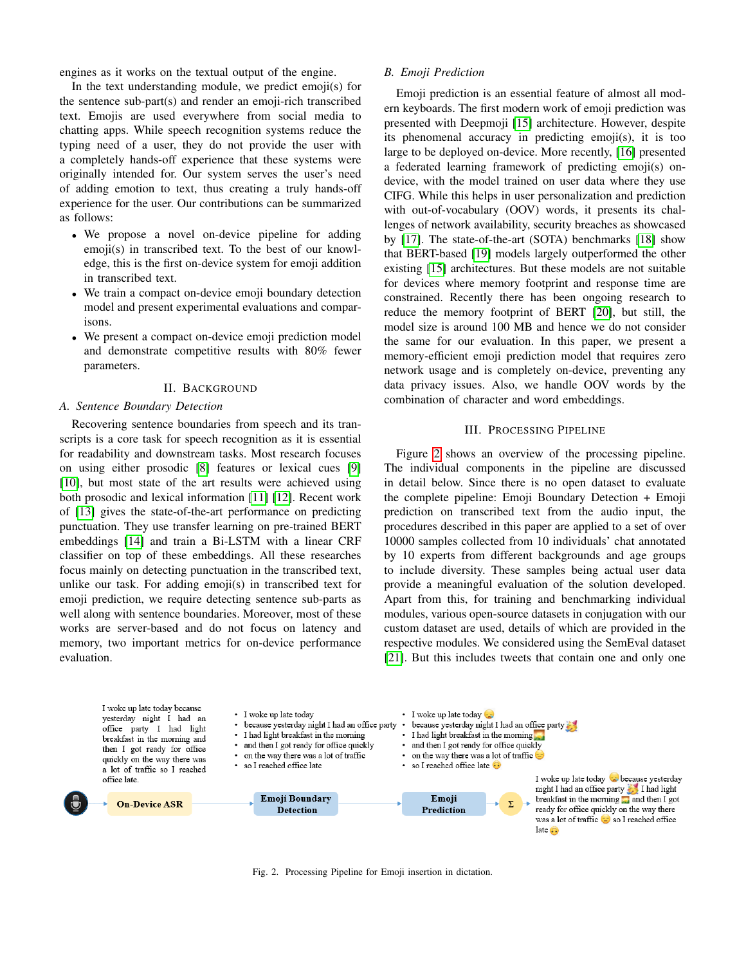engines as it works on the textual output of the engine.

In the text understanding module, we predict emoji(s) for the sentence sub-part(s) and render an emoji-rich transcribed text. Emojis are used everywhere from social media to chatting apps. While speech recognition systems reduce the typing need of a user, they do not provide the user with a completely hands-off experience that these systems were originally intended for. Our system serves the user's need of adding emotion to text, thus creating a truly hands-off experience for the user. Our contributions can be summarized as follows:

- We propose a novel on-device pipeline for adding emoji(s) in transcribed text. To the best of our knowledge, this is the first on-device system for emoji addition in transcribed text.
- We train a compact on-device emoji boundary detection model and present experimental evaluations and comparisons.
- We present a compact on-device emoji prediction model and demonstrate competitive results with 80% fewer parameters.

#### II. BACKGROUND

#### *A. Sentence Boundary Detection*

Recovering sentence boundaries from speech and its transcripts is a core task for speech recognition as it is essential for readability and downstream tasks. Most research focuses on using either prosodic [\[8\]](#page-5-7) features or lexical cues [\[9\]](#page-5-8) [\[10\]](#page-5-9), but most state of the art results were achieved using both prosodic and lexical information [\[11\]](#page-5-10) [\[12\]](#page-5-11). Recent work of [\[13\]](#page-5-12) gives the state-of-the-art performance on predicting punctuation. They use transfer learning on pre-trained BERT embeddings [\[14\]](#page-5-13) and train a Bi-LSTM with a linear CRF classifier on top of these embeddings. All these researches focus mainly on detecting punctuation in the transcribed text, unlike our task. For adding emoji(s) in transcribed text for emoji prediction, we require detecting sentence sub-parts as well along with sentence boundaries. Moreover, most of these works are server-based and do not focus on latency and memory, two important metrics for on-device performance evaluation.

# *B. Emoji Prediction*

Emoji prediction is an essential feature of almost all modern keyboards. The first modern work of emoji prediction was presented with Deepmoji [\[15\]](#page-5-14) architecture. However, despite its phenomenal accuracy in predicting emoji(s), it is too large to be deployed on-device. More recently, [\[16\]](#page-5-15) presented a federated learning framework of predicting emoji(s) ondevice, with the model trained on user data where they use CIFG. While this helps in user personalization and prediction with out-of-vocabulary (OOV) words, it presents its challenges of network availability, security breaches as showcased by [\[17\]](#page-5-16). The state-of-the-art (SOTA) benchmarks [\[18\]](#page-5-17) show that BERT-based [\[19\]](#page-5-18) models largely outperformed the other existing [\[15\]](#page-5-14) architectures. But these models are not suitable for devices where memory footprint and response time are constrained. Recently there has been ongoing research to reduce the memory footprint of BERT [\[20\]](#page-5-19), but still, the model size is around 100 MB and hence we do not consider the same for our evaluation. In this paper, we present a memory-efficient emoji prediction model that requires zero network usage and is completely on-device, preventing any data privacy issues. Also, we handle OOV words by the combination of character and word embeddings.

# III. PROCESSING PIPELINE

<span id="page-1-1"></span>Figure [2](#page-1-0) shows an overview of the processing pipeline. The individual components in the pipeline are discussed in detail below. Since there is no open dataset to evaluate the complete pipeline: Emoji Boundary Detection + Emoji prediction on transcribed text from the audio input, the procedures described in this paper are applied to a set of over 10000 samples collected from 10 individuals' chat annotated by 10 experts from different backgrounds and age groups to include diversity. These samples being actual user data provide a meaningful evaluation of the solution developed. Apart from this, for training and benchmarking individual modules, various open-source datasets in conjugation with our custom dataset are used, details of which are provided in the respective modules. We considered using the SemEval dataset [\[21\]](#page-5-20). But this includes tweets that contain one and only one

<span id="page-1-0"></span>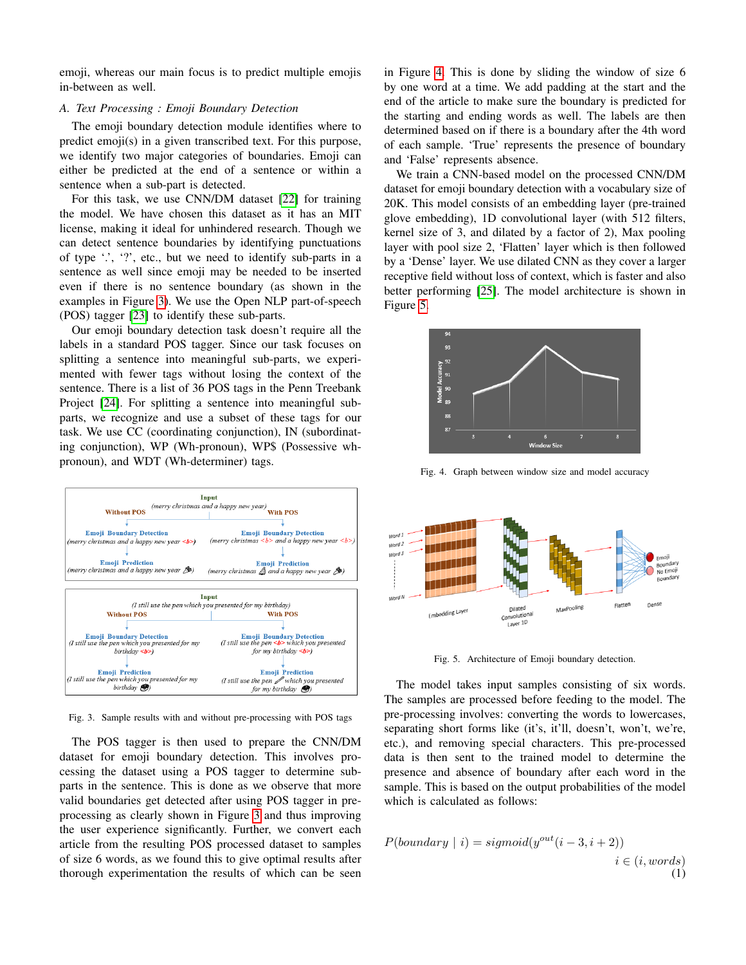emoji, whereas our main focus is to predict multiple emojis in-between as well.

# <span id="page-2-3"></span>*A. Text Processing : Emoji Boundary Detection*

The emoji boundary detection module identifies where to predict emoji(s) in a given transcribed text. For this purpose, we identify two major categories of boundaries. Emoji can either be predicted at the end of a sentence or within a sentence when a sub-part is detected.

For this task, we use CNN/DM dataset [\[22\]](#page-5-21) for training the model. We have chosen this dataset as it has an MIT license, making it ideal for unhindered research. Though we can detect sentence boundaries by identifying punctuations of type  $\lq$ .  $\lq$ ?, etc., but we need to identify sub-parts in a sentence as well since emoji may be needed to be inserted even if there is no sentence boundary (as shown in the examples in Figure [3\)](#page-2-0). We use the Open NLP part-of-speech (POS) tagger [\[23\]](#page-5-22) to identify these sub-parts.

Our emoji boundary detection task doesn't require all the labels in a standard POS tagger. Since our task focuses on splitting a sentence into meaningful sub-parts, we experimented with fewer tags without losing the context of the sentence. There is a list of 36 POS tags in the Penn Treebank Project [\[24\]](#page-5-23). For splitting a sentence into meaningful subparts, we recognize and use a subset of these tags for our task. We use CC (coordinating conjunction), IN (subordinating conjunction), WP (Wh-pronoun), WP\$ (Possessive whpronoun), and WDT (Wh-determiner) tags.



<span id="page-2-0"></span>Fig. 3. Sample results with and without pre-processing with POS tags

The POS tagger is then used to prepare the CNN/DM dataset for emoji boundary detection. This involves processing the dataset using a POS tagger to determine subparts in the sentence. This is done as we observe that more valid boundaries get detected after using POS tagger in preprocessing as clearly shown in Figure [3](#page-2-0) and thus improving the user experience significantly. Further, we convert each article from the resulting POS processed dataset to samples of size 6 words, as we found this to give optimal results after thorough experimentation the results of which can be seen in Figure [4.](#page-2-1) This is done by sliding the window of size 6 by one word at a time. We add padding at the start and the end of the article to make sure the boundary is predicted for the starting and ending words as well. The labels are then determined based on if there is a boundary after the 4th word of each sample. 'True' represents the presence of boundary and 'False' represents absence.

We train a CNN-based model on the processed CNN/DM dataset for emoji boundary detection with a vocabulary size of 20K. This model consists of an embedding layer (pre-trained glove embedding), 1D convolutional layer (with 512 filters, kernel size of 3, and dilated by a factor of 2), Max pooling layer with pool size 2, 'Flatten' layer which is then followed by a 'Dense' layer. We use dilated CNN as they cover a larger receptive field without loss of context, which is faster and also better performing [\[25\]](#page-5-24). The model architecture is shown in Figure [5.](#page-2-2)



<span id="page-2-1"></span>Fig. 4. Graph between window size and model accuracy



<span id="page-2-2"></span>Fig. 5. Architecture of Emoji boundary detection.

The model takes input samples consisting of six words. The samples are processed before feeding to the model. The pre-processing involves: converting the words to lowercases, separating short forms like (it's, it'll, doesn't, won't, we're, etc.), and removing special characters. This pre-processed data is then sent to the trained model to determine the presence and absence of boundary after each word in the sample. This is based on the output probabilities of the model which is calculated as follows:

$$
P(boundary | i) = sigmoid(y^{out}(i-3, i+2))
$$
  
 $i \in (i, words)$   
(1)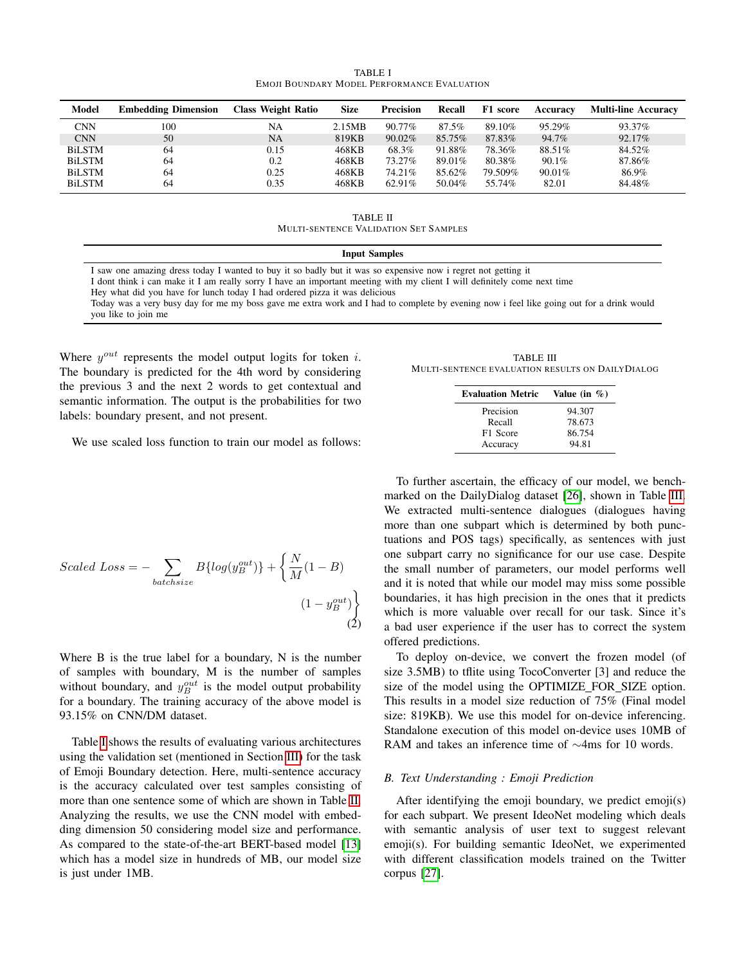TABLE I EMOJI BOUNDARY MODEL PERFORMANCE EVALUATION

<span id="page-3-0"></span>

| Model         | <b>Embedding Dimension</b> | <b>Class Weight Ratio</b> | <b>Size</b> | <b>Precision</b> | Recall | F1 score | Accuracy | <b>Multi-line Accuracy</b> |
|---------------|----------------------------|---------------------------|-------------|------------------|--------|----------|----------|----------------------------|
| <b>CNN</b>    | 100                        | NA                        | 2.15MB      | $90.77\%$        | 87.5%  | 89.10%   | 95.29%   | 93.37%                     |
| <b>CNN</b>    | 50                         | NA                        | 819KB       | $90.02\%$        | 85.75% | 87.83%   | 94.7%    | 92.17%                     |
| <b>BiLSTM</b> | 64                         | 0.15                      | 468KB       | 68.3%            | 91.88% | 78.36%   | 88.51%   | 84.52%                     |
| <b>BiLSTM</b> | 64                         | 0.2                       | 468KB       | 73.27%           | 89.01% | 80.38%   | $90.1\%$ | 87.86%                     |
| <b>BiLSTM</b> | 64                         | 0.25                      | 468KB       | 74.21%           | 85.62% | 79.509%  | 90.01%   | 86.9%                      |
| <b>BiLSTM</b> | 64                         | 0.35                      | 468KB       | 62.91%           | 50.04% | 55.74%   | 82.01    | 84.48%                     |

TABLE II MULTI-SENTENCE VALIDATION SET SAMPLES

#### Input Samples

<span id="page-3-1"></span>I saw one amazing dress today I wanted to buy it so badly but it was so expensive now i regret not getting it I dont think i can make it I am really sorry I have an important meeting with my client I will definitely come next time Hey what did you have for lunch today I had ordered pizza it was delicious

Today was a very busy day for me my boss gave me extra work and I had to complete by evening now i feel like going out for a drink would you like to join me

Where  $y^{out}$  represents the model output logits for token i. The boundary is predicted for the 4th word by considering the previous 3 and the next 2 words to get contextual and semantic information. The output is the probabilities for two labels: boundary present, and not present.

<span id="page-3-2"></span>

| TABLE III                                        |  |
|--------------------------------------------------|--|
| Multi-sentence evaluation results on DailyDialog |  |

| <b>Evaluation Metric</b> | Value (in $\%$ ) |
|--------------------------|------------------|
| Precision                | 94.307           |
| Recall                   | 78.673           |
| F1 Score                 | 86.754           |
| Accuracy                 | 94.81            |

We use scaled loss function to train our model as follows:

$$
Scaled Loss = -\sum_{batchsize} B\{log(y_B^{out})\} + \left\{\frac{N}{M}(1 - B) \times (1 - y_B^{out})\right\}
$$
\n
$$
(1 - y_B^{out})
$$
\n(2)

Where B is the true label for a boundary, N is the number of samples with boundary, M is the number of samples without boundary, and  $y_B^{out}$  is the model output probability for a boundary. The training accuracy of the above model is 93.15% on CNN/DM dataset.

Table [I](#page-3-0) shows the results of evaluating various architectures using the validation set (mentioned in Section [III\)](#page-1-1) for the task of Emoji Boundary detection. Here, multi-sentence accuracy is the accuracy calculated over test samples consisting of more than one sentence some of which are shown in Table [II.](#page-3-1) Analyzing the results, we use the CNN model with embedding dimension 50 considering model size and performance. As compared to the state-of-the-art BERT-based model [\[13\]](#page-5-12) which has a model size in hundreds of MB, our model size is just under 1MB.

To further ascertain, the efficacy of our model, we benchmarked on the DailyDialog dataset [\[26\]](#page-5-25), shown in Table [III.](#page-3-2) We extracted multi-sentence dialogues (dialogues having more than one subpart which is determined by both punctuations and POS tags) specifically, as sentences with just one subpart carry no significance for our use case. Despite the small number of parameters, our model performs well and it is noted that while our model may miss some possible boundaries, it has high precision in the ones that it predicts which is more valuable over recall for our task. Since it's a bad user experience if the user has to correct the system offered predictions.

To deploy on-device, we convert the frozen model (of size 3.5MB) to tflite using TocoConverter [3] and reduce the size of the model using the OPTIMIZE FOR SIZE option. This results in a model size reduction of 75% (Final model size: 819KB). We use this model for on-device inferencing. Standalone execution of this model on-device uses 10MB of RAM and takes an inference time of ∼4ms for 10 words.

# <span id="page-3-3"></span>*B. Text Understanding : Emoji Prediction*

After identifying the emoji boundary, we predict emoji(s) for each subpart. We present IdeoNet modeling which deals with semantic analysis of user text to suggest relevant emoji(s). For building semantic IdeoNet, we experimented with different classification models trained on the Twitter corpus [\[27\]](#page-5-26).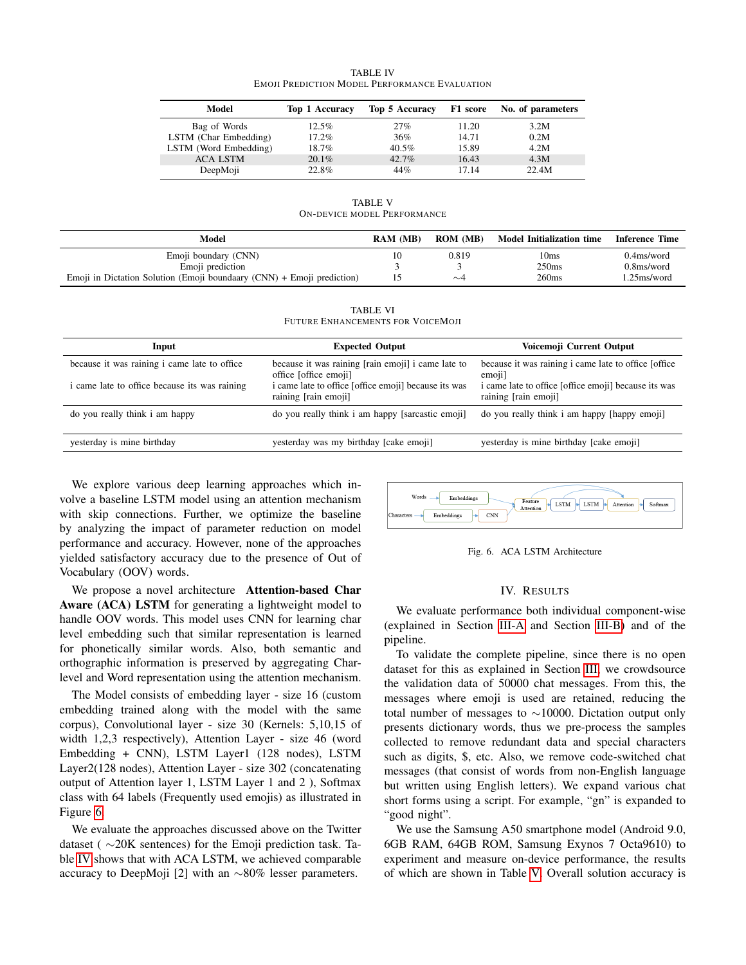<span id="page-4-1"></span>

| Model                 | <b>Top 1 Accuracy</b> | Top 5 Accuracy |       | F1 score No. of parameters |
|-----------------------|-----------------------|----------------|-------|----------------------------|
| Bag of Words          | 12.5%                 | 27%            | 11.20 | 3.2M                       |
| LSTM (Char Embedding) | 17.2%                 | 36%            | 14.71 | 0.2M                       |
| LSTM (Word Embedding) | 18.7%                 | $40.5\%$       | 15.89 | 4.2M                       |
| <b>ACA LSTM</b>       | 20.1%                 | 42.7%          | 16.43 | 4.3M                       |
| DeepMoji              | 22.8%                 | 44%            | 17.14 | 22.4M                      |

TABLE IV EMOJI PREDICTION MODEL PERFORMANCE EVALUATION

TABLE V ON-DEVICE MODEL PERFORMANCE

<span id="page-4-2"></span>

| Model                                                                   | <b>RAM (MB)</b> | <b>ROM</b> (MB) | <b>Model Initialization time</b> | <b>Inference Time</b>   |
|-------------------------------------------------------------------------|-----------------|-----------------|----------------------------------|-------------------------|
| Emoji boundary (CNN)                                                    |                 | 0.819           | 10ms                             | 0.4 <sub>ms</sub> /word |
| Emoji prediction                                                        |                 |                 | 250ms                            | 0.8 <sub>ms</sub> /word |
| Emoji in Dictation Solution (Emoji boundary $(CNN)$ + Emoji prediction) |                 | $\sim$ 4        | 260ms                            | .25ms/word              |

TABLE VI FUTURE ENHANCEMENTS FOR VOICEMOJI

<span id="page-4-3"></span>

| Input                                         | <b>Expected Output</b>                                                       | Voicemoji Current Output                                                     |  |  |
|-----------------------------------------------|------------------------------------------------------------------------------|------------------------------------------------------------------------------|--|--|
| because it was raining i came late to office  | because it was raining [rain emoji] i came late to<br>office [office emoji]  | because it was raining i came late to office [office]<br>emoji]              |  |  |
| i came late to office because its was raining | i came late to office [office emoji] because its was<br>raining [rain emoji] | i came late to office [office emoji] because its was<br>raining [rain emoji] |  |  |
| do you really think i am happy                | do you really think i am happy [sarcastic emoji]                             | do you really think i am happy [happy emoji]                                 |  |  |
| yesterday is mine birthday                    | yesterday was my birthday [cake emoji]                                       | yesterday is mine birthday [cake emoji]                                      |  |  |

We explore various deep learning approaches which involve a baseline LSTM model using an attention mechanism with skip connections. Further, we optimize the baseline by analyzing the impact of parameter reduction on model performance and accuracy. However, none of the approaches yielded satisfactory accuracy due to the presence of Out of Vocabulary (OOV) words.

We propose a novel architecture Attention-based Char Aware (ACA) LSTM for generating a lightweight model to handle OOV words. This model uses CNN for learning char level embedding such that similar representation is learned for phonetically similar words. Also, both semantic and orthographic information is preserved by aggregating Charlevel and Word representation using the attention mechanism.

The Model consists of embedding layer - size 16 (custom embedding trained along with the model with the same corpus), Convolutional layer - size 30 (Kernels: 5,10,15 of width 1,2,3 respectively), Attention Layer - size 46 (word Embedding + CNN), LSTM Layer1 (128 nodes), LSTM Layer2(128 nodes), Attention Layer - size 302 (concatenating output of Attention layer 1, LSTM Layer 1 and 2 ), Softmax class with 64 labels (Frequently used emojis) as illustrated in Figure [6.](#page-4-0)

We evaluate the approaches discussed above on the Twitter dataset ( ∼20K sentences) for the Emoji prediction task. Table [IV](#page-4-1) shows that with ACA LSTM, we achieved comparable accuracy to DeepMoji [2] with an ∼80% lesser parameters.



<span id="page-4-0"></span>Fig. 6. ACA LSTM Architecture

#### IV. RESULTS

We evaluate performance both individual component-wise (explained in Section [III-A](#page-2-3) and Section [III-B\)](#page-3-3) and of the pipeline.

To validate the complete pipeline, since there is no open dataset for this as explained in Section [III,](#page-1-1) we crowdsource the validation data of 50000 chat messages. From this, the messages where emoji is used are retained, reducing the total number of messages to ∼10000. Dictation output only presents dictionary words, thus we pre-process the samples collected to remove redundant data and special characters such as digits, \$, etc. Also, we remove code-switched chat messages (that consist of words from non-English language but written using English letters). We expand various chat short forms using a script. For example, "gn" is expanded to "good night".

We use the Samsung A50 smartphone model (Android 9.0, 6GB RAM, 64GB ROM, Samsung Exynos 7 Octa9610) to experiment and measure on-device performance, the results of which are shown in Table [V.](#page-4-2) Overall solution accuracy is